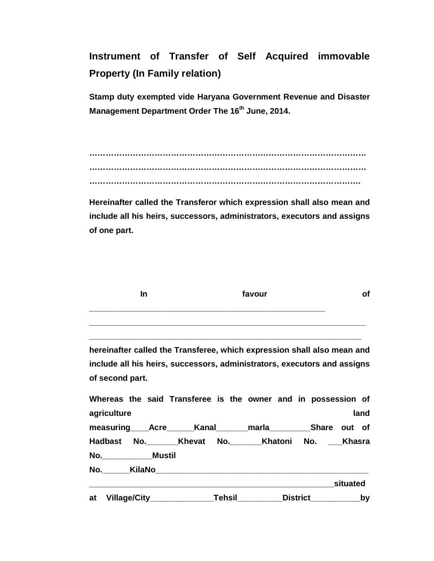**Instrument of Transfer of Self Acquired immovable Property (In Family relation)** 

**Stamp duty exempted vide Haryana Government Revenue and Disaster Management Department Order The 16th June, 2014.** 

**………………………………………………………………………………………… ………………………………………………………………………………………… ……………………………………………………………………………………….** 

**Hereinafter called the Transferor which expression shall also mean and include all his heirs, successors, administrators, executors and assigns of one part.** 

| In                                                                                          | favour |  |                      | οf   |
|---------------------------------------------------------------------------------------------|--------|--|----------------------|------|
|                                                                                             |        |  |                      |      |
| hereinafter called the Transferee, which expression shall also mean and                     |        |  |                      |      |
| include all his heirs, successors, administrators, executors and assigns<br>of second part. |        |  |                      |      |
| Whereas the said Transferee is the owner and in possession of<br>agriculture                |        |  |                      | land |
| measuring Acre Kanal marla Share out of                                                     |        |  |                      |      |
| Hadbast No. ________Khevat No. ________Khatoni No. ____Khasra                               |        |  |                      |      |
| No.________________Mustil                                                                   |        |  |                      |      |
|                                                                                             |        |  |                      |      |
|                                                                                             |        |  |                      |      |
| at Village/City_________________Tehsil__________                                            |        |  | _District___________ | by   |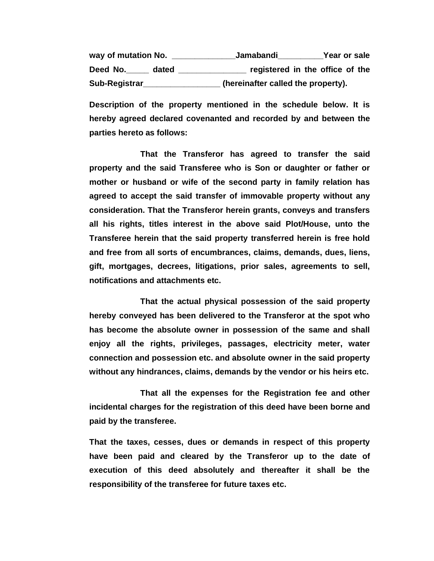**way of mutation No. \_\_\_\_\_\_\_\_\_\_\_\_\_\_Jamabandi\_\_\_\_\_\_\_\_\_\_Year or sale Deed No.\_\_\_\_\_ dated \_\_\_\_\_\_\_\_\_\_\_\_\_\_\_ registered in the office of the Sub-Registrar\_\_\_\_\_\_\_\_\_\_\_\_\_\_\_\_\_ (hereinafter called the property).** 

**Description of the property mentioned in the schedule below. It is hereby agreed declared covenanted and recorded by and between the parties hereto as follows:** 

 **That the Transferor has agreed to transfer the said property and the said Transferee who is Son or daughter or father or mother or husband or wife of the second party in family relation has agreed to accept the said transfer of immovable property without any consideration. That the Transferor herein grants, conveys and transfers all his rights, titles interest in the above said Plot/House, unto the Transferee herein that the said property transferred herein is free hold and free from all sorts of encumbrances, claims, demands, dues, liens, gift, mortgages, decrees, litigations, prior sales, agreements to sell, notifications and attachments etc.** 

 **That the actual physical possession of the said property hereby conveyed has been delivered to the Transferor at the spot who has become the absolute owner in possession of the same and shall enjoy all the rights, privileges, passages, electricity meter, water connection and possession etc. and absolute owner in the said property without any hindrances, claims, demands by the vendor or his heirs etc.** 

 **That all the expenses for the Registration fee and other incidental charges for the registration of this deed have been borne and paid by the transferee.** 

**That the taxes, cesses, dues or demands in respect of this property have been paid and cleared by the Transferor up to the date of execution of this deed absolutely and thereafter it shall be the responsibility of the transferee for future taxes etc.**